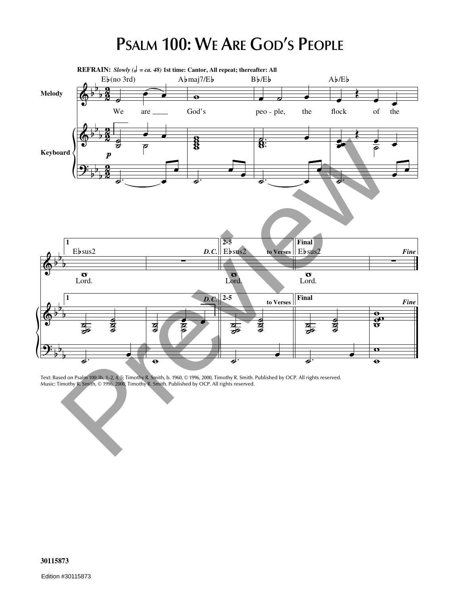## **PSALM 100: WE ARE GOD'S PEOPLE**



Text: Based on Psalm 100:3b, 1–2, 4, 5; Timothy R. Smith, b. 1960, © 1996, 2000, Timothy R. Smith. Published by OCP. All rights reserved. Music: Timothy R. Smith, © 1996, 2000, Timothy R. Smith. Published by OCP. All rights reserved.